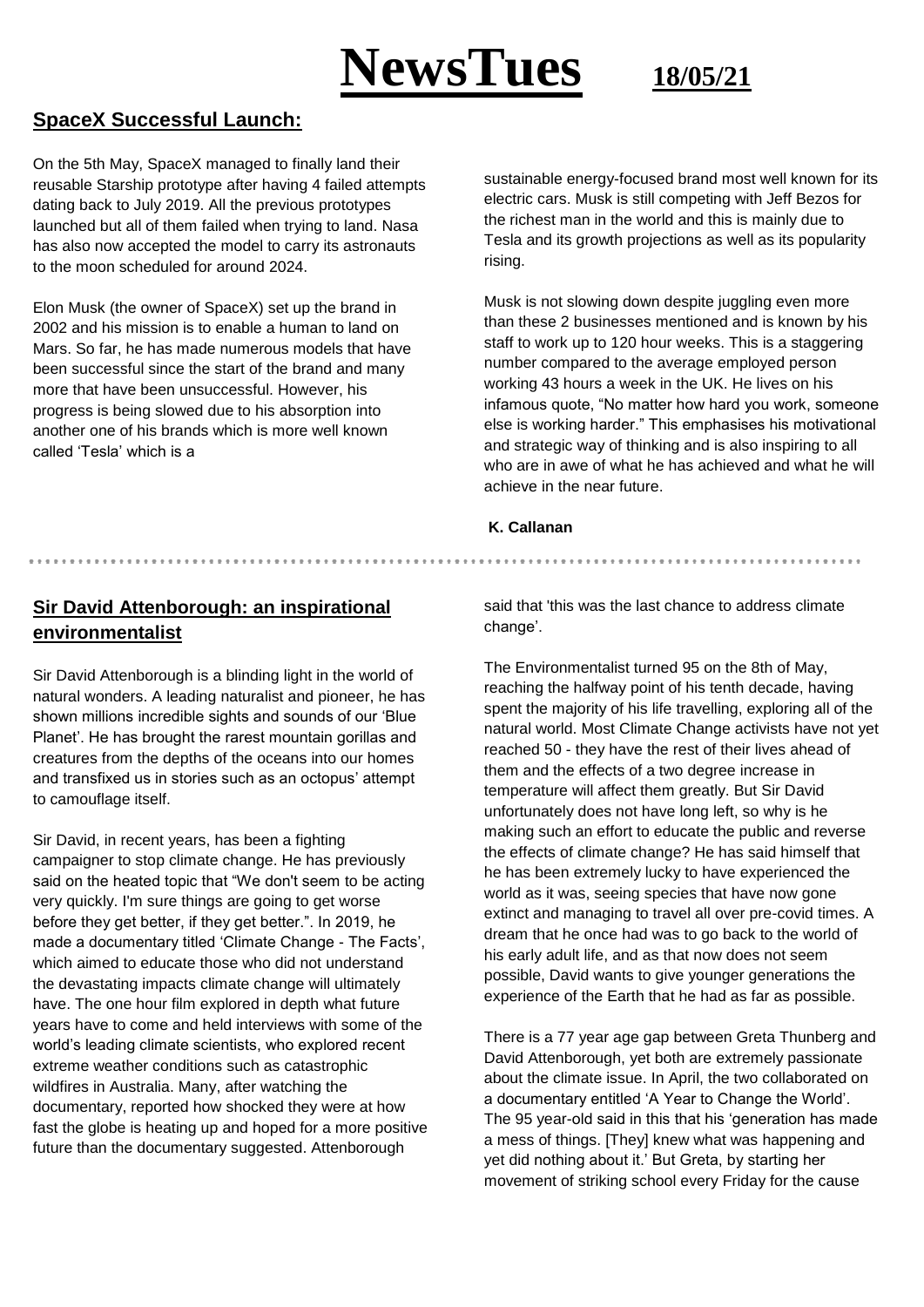

### **SpaceX Successful Launch:**

On the 5th May, SpaceX managed to finally land their reusable Starship prototype after having 4 failed attempts dating back to July 2019. All the previous prototypes launched but all of them failed when trying to land. Nasa has also now accepted the model to carry its astronauts to the moon scheduled for around 2024.

Elon Musk (the owner of SpaceX) set up the brand in 2002 and his mission is to enable a human to land on Mars. So far, he has made numerous models that have been successful since the start of the brand and many more that have been unsuccessful. However, his progress is being slowed due to his absorption into another one of his brands which is more well known called 'Tesla' which is a

sustainable energy-focused brand most well known for its electric cars. Musk is still competing with Jeff Bezos for the richest man in the world and this is mainly due to Tesla and its growth projections as well as its popularity rising.

Musk is not slowing down despite juggling even more than these 2 businesses mentioned and is known by his staff to work up to 120 hour weeks. This is a staggering number compared to the average employed person working 43 hours a week in the UK. He lives on his infamous quote, "No matter how hard you work, someone else is working harder." This emphasises his motivational and strategic way of thinking and is also inspiring to all who are in awe of what he has achieved and what he will achieve in the near future.

#### **K. Callanan**

### **Sir David Attenborough: an inspirational environmentalist**

Sir David Attenborough is a blinding light in the world of natural wonders. A leading naturalist and pioneer, he has shown millions incredible sights and sounds of our 'Blue Planet'. He has brought the rarest mountain gorillas and creatures from the depths of the oceans into our homes and transfixed us in stories such as an octopus' attempt to camouflage itself.

Sir David, in recent years, has been a fighting campaigner to stop climate change. He has previously said on the heated topic that "We don't seem to be acting very quickly. I'm sure things are going to get worse before they get better, if they get better.". In 2019, he made a documentary titled 'Climate Change - The Facts', which aimed to educate those who did not understand the devastating impacts climate change will ultimately have. The one hour film explored in depth what future years have to come and held interviews with some of the world's leading climate scientists, who explored recent extreme weather conditions such as catastrophic wildfires in Australia. Many, after watching the documentary, reported how shocked they were at how fast the globe is heating up and hoped for a more positive future than the documentary suggested. Attenborough

said that 'this was the last chance to address climate change'.

The Environmentalist turned 95 on the 8th of May, reaching the halfway point of his tenth decade, having spent the majority of his life travelling, exploring all of the natural world. Most Climate Change activists have not yet reached 50 - they have the rest of their lives ahead of them and the effects of a two degree increase in temperature will affect them greatly. But Sir David unfortunately does not have long left, so why is he making such an effort to educate the public and reverse the effects of climate change? He has said himself that he has been extremely lucky to have experienced the world as it was, seeing species that have now gone extinct and managing to travel all over pre-covid times. A dream that he once had was to go back to the world of his early adult life, and as that now does not seem possible, David wants to give younger generations the experience of the Earth that he had as far as possible.

There is a 77 year age gap between Greta Thunberg and David Attenborough, yet both are extremely passionate about the climate issue. In April, the two collaborated on a documentary entitled 'A Year to Change the World'. The 95 year-old said in this that his 'generation has made a mess of things. [They] knew what was happening and yet did nothing about it.' But Greta, by starting her movement of striking school every Friday for the cause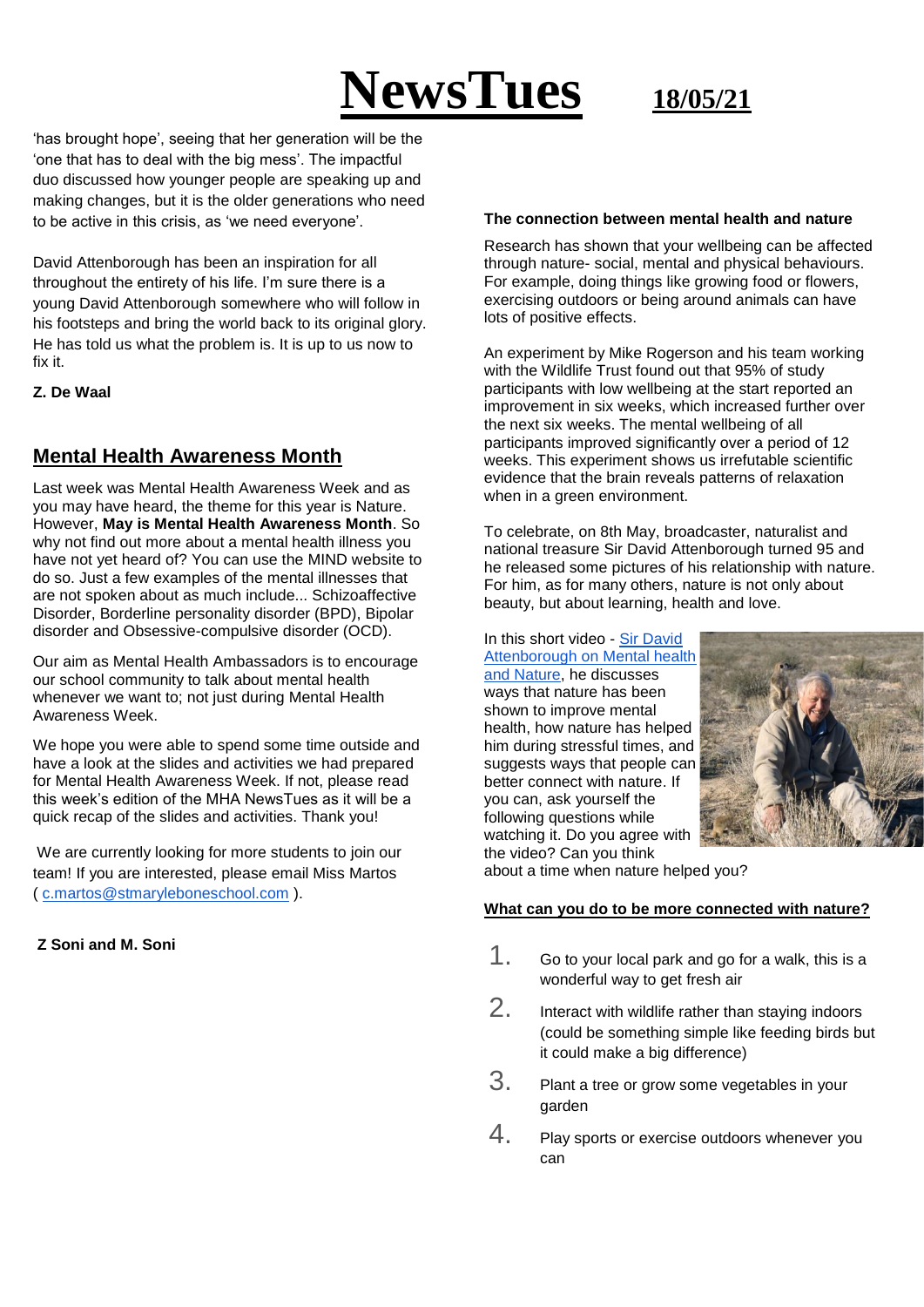# **NewsTues 18/05/21**

'has brought hope', seeing that her generation will be the 'one that has to deal with the big mess'. The impactful duo discussed how younger people are speaking up and making changes, but it is the older generations who need to be active in this crisis, as 'we need everyone'.

David Attenborough has been an inspiration for all throughout the entirety of his life. I'm sure there is a young David Attenborough somewhere who will follow in his footsteps and bring the world back to its original glory. He has told us what the problem is. It is up to us now to fix it.

#### **Z. De Waal**

# **Mental Health Awareness Month**

Last week was Mental Health Awareness Week and as you may have heard, the theme for this year is Nature. However, **May is Mental Health Awareness Month**. So why not find out more about a mental health illness you have not yet heard of? You can use the MIND website to do so. Just a few examples of the mental illnesses that are not spoken about as much include... Schizoaffective Disorder, Borderline personality disorder (BPD), Bipolar disorder and Obsessive-compulsive disorder (OCD).

Our aim as Mental Health Ambassadors is to encourage our school community to talk about mental health whenever we want to; not just during Mental Health Awareness Week.

We hope you were able to spend some time outside and have a look at the slides and activities we had prepared for Mental Health Awareness Week. If not, please read this week's edition of the MHA NewsTues as it will be a quick recap of the slides and activities. Thank you!

We are currently looking for more students to join our team! If you are interested, please email Miss Martos ( [c.martos@stmaryleboneschool.com](mailto:c.martos@stmaryleboneschool.com) ).

#### **Z Soni and M. Soni**

#### **The connection between mental health and nature**

Research has shown that your wellbeing can be affected through nature- social, mental and physical behaviours. For example, doing things like growing food or flowers, exercising outdoors or being around animals can have lots of positive effects.

An experiment by Mike Rogerson and his team working with the Wildlife Trust found out that 95% of study participants with low wellbeing at the start reported an improvement in six weeks, which increased further over the next six weeks. The mental wellbeing of all participants improved significantly over a period of 12 weeks. This experiment shows us irrefutable scientific evidence that the brain reveals patterns of relaxation when in a green environment.

To celebrate, on 8th May, broadcaster, naturalist and national treasure Sir David Attenborough turned 95 and he released some pictures of his relationship with nature. For him, as for many others, nature is not only about beauty, but about learning, health and love.

In this short video - [Sir David](https://youtu.be/h29z-l3XTlk)  [Attenborough on Mental health](https://youtu.be/h29z-l3XTlk)  [and Nature,](https://youtu.be/h29z-l3XTlk) he discusses ways that nature has been shown to improve mental health, how nature has helped him during stressful times, and suggests ways that people can better connect with nature. If you can, ask yourself the following questions while watching it. Do you agree with the video? Can you think



about a time when nature helped you?

#### **What can you do to be more connected with nature?**

- 1. Go to your local park and go for a walk, this is a wonderful way to get fresh air
- 2. Interact with wildlife rather than staying indoors (could be something simple like feeding birds but it could make a big difference)
- 3. Plant a tree or grow some vegetables in your garden
- 4. Play sports or exercise outdoors whenever you can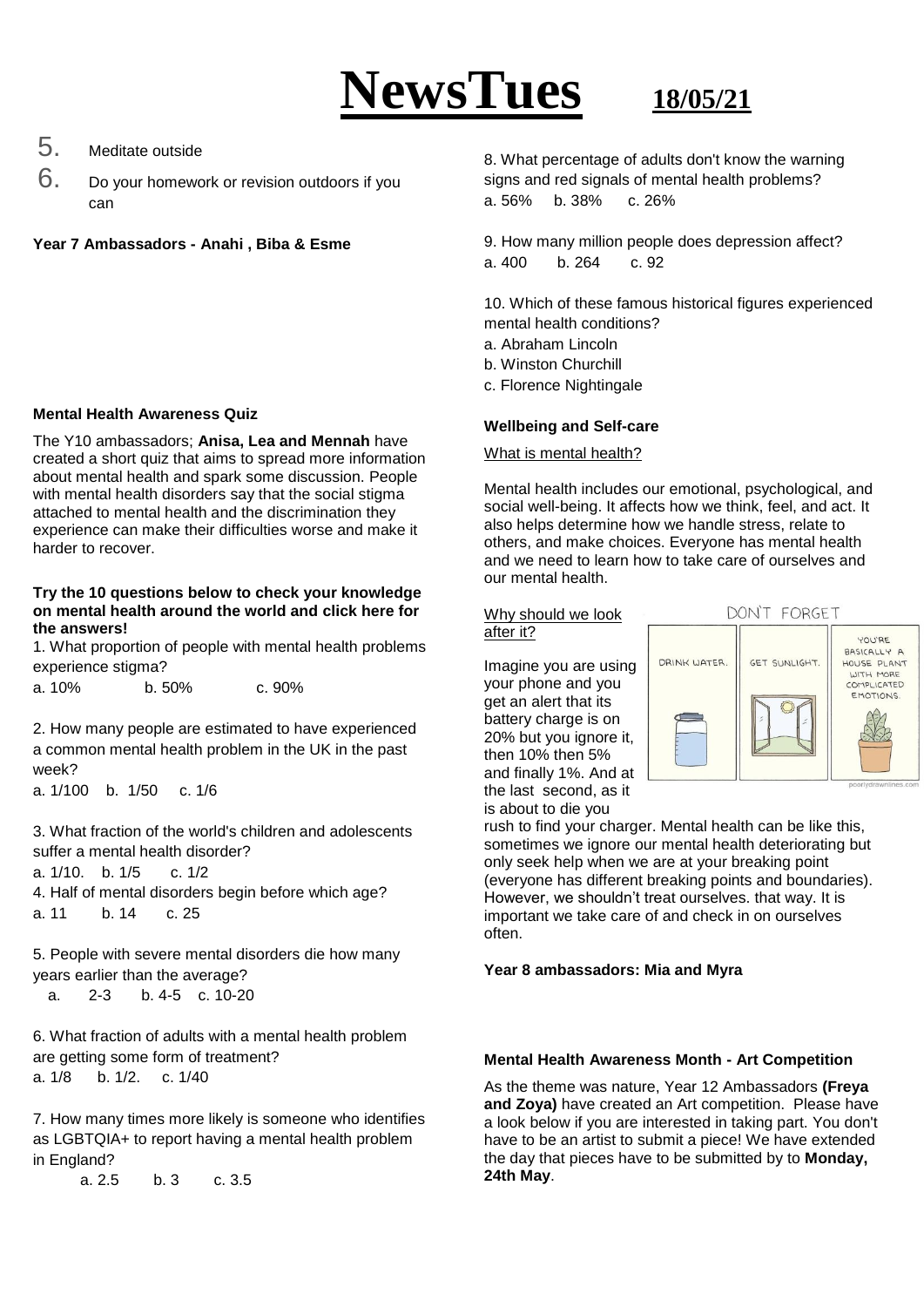# **NewsTues 18/05/21**

# 5. Meditate outside

6. Do your homework or revision outdoors if you can

**Year 7 Ambassadors - Anahi , Biba & Esme**

#### **Mental Health Awareness Quiz**

The Y10 ambassadors; **Anisa, Lea and Mennah** have created a short quiz that aims to spread more information about mental health and spark some discussion. People with mental health disorders say that the social stigma attached to mental health and the discrimination they experience can make their difficulties worse and make it harder to recover.

#### **Try the 10 questions below to check your knowledge on mental health around the world and [click here](https://docs.google.com/presentation/d/1_M_kSlp81skIEZtfcBPv-WUwBOpCzFtvr4ijVpTKR-w/edit?usp=sharing) for the answers!**

1. What proportion of people with mental health problems experience stigma?

| a. 10% | b.50% | c. 90% |
|--------|-------|--------|
|        |       |        |

2. How many people are estimated to have experienced a common mental health problem in the UK in the past week?

a. 1/100 b. 1/50 c. 1/6

3. What fraction of the world's children and adolescents suffer a mental health disorder?

- a. 1/10. b. 1/5 c. 1/2
- 4. Half of mental disorders begin before which age? a. 11 b. 14 c. 25

5. People with severe mental disorders die how many years earlier than the average? a. 2-3 b. 4-5 c. 10-20

6. What fraction of adults with a mental health problem are getting some form of treatment? a. 1/8 b. 1/2. c. 1/40

7. How many times more likely is someone who identifies as LGBTQIA+ to report having a mental health problem in England?

a. 2.5 b. 3 c. 3.5

8. What percentage of adults don't know the warning signs and red signals of mental health problems? a. 56% b. 38% c. 26%

9. How many million people does depression affect? a. 400 b. 264 c. 92

10. Which of these famous historical figures experienced mental health conditions?

- a. Abraham Lincoln
- b. Winston Churchill
- c. Florence Nightingale

#### **Wellbeing and Self-care**

What is mental health?

Mental health includes our emotional, psychological, and social well-being. It affects how we think, feel, and act. It also helps determine how we handle stress, relate to others, and make choices. Everyone has mental health and we need to learn how to take care of ourselves and our mental health.

#### Why should we look after it?

Imagine you are using your phone and you get an alert that its battery charge is on 20% but you ignore it, then 10% then 5% and finally 1%. And at the last second, as it is about to die you



rush to find your charger. Mental health can be like this, sometimes we ignore our mental health deteriorating but only seek help when we are at your breaking point (everyone has different breaking points and boundaries). However, we shouldn't treat ourselves. that way. It is important we take care of and check in on ourselves often.

#### **Year 8 ambassadors: Mia and Myra**

### **Mental Health Awareness Month - Art Competition**

As the theme was nature, Year 12 Ambassadors **(Freya and Zoya)** have created an Art competition. Please have a look below if you are interested in taking part. You don't have to be an artist to submit a piece! We have extended the day that pieces have to be submitted by to **Monday, 24th May**.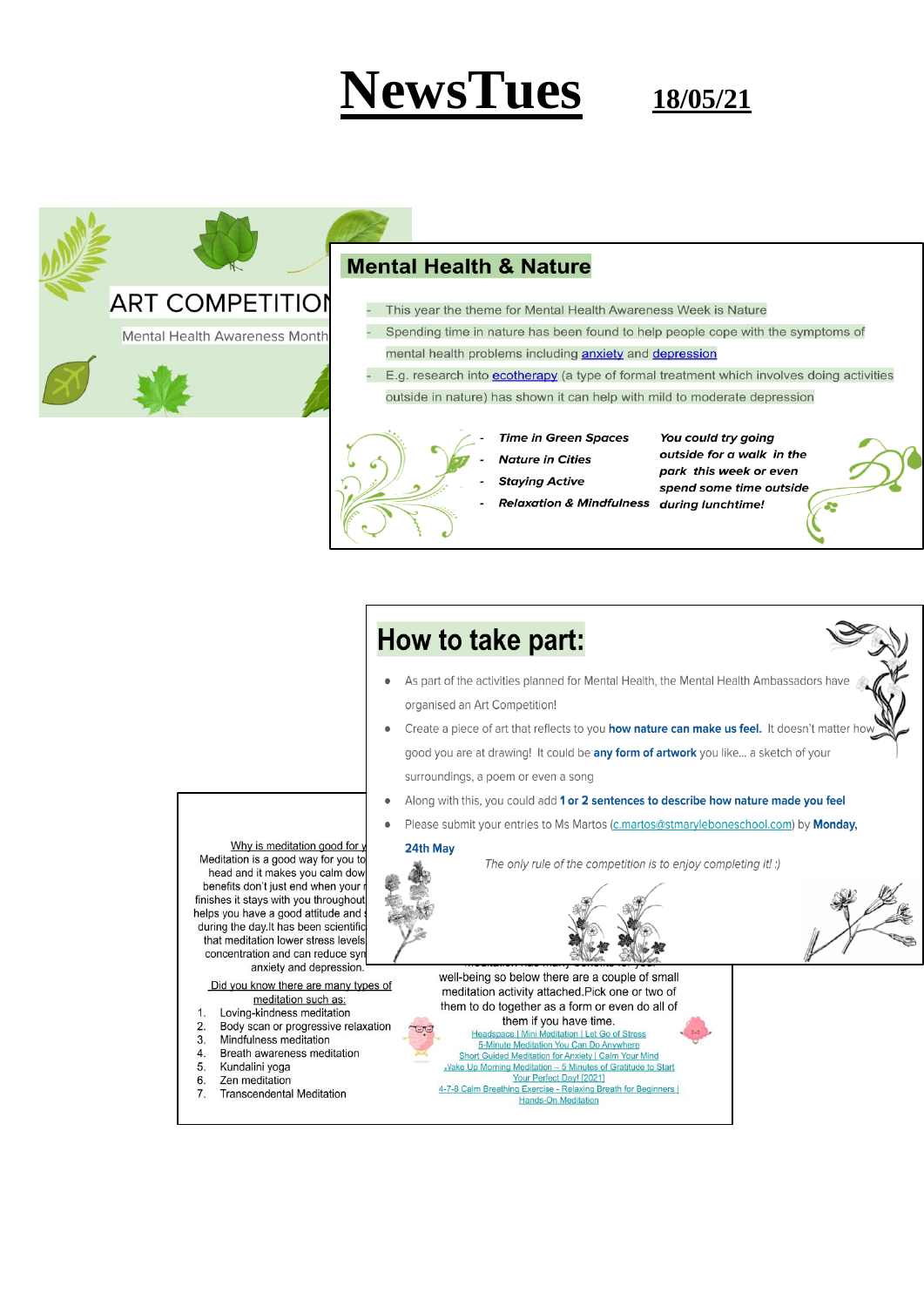# **NewsTues**

18/05/21



## **Mental Health & Nature**

- This year the theme for Mental Health Awareness Week is Nature
- Spending time in nature has been found to help people cope with the symptoms of mental health problems including **anxiety** and depression
- E.g. research into ecotherapy (a type of formal treatment which involves doing activities outside in nature) has shown it can help with mild to moderate depression

- **Time in Green Spaces**
- **Nature in Cities** 
	- **Staying Active**
- outside for a walk in the park this week or even spend some time outside

89

You could try going

**Relaxation & Mindfulness during lunchtime!**